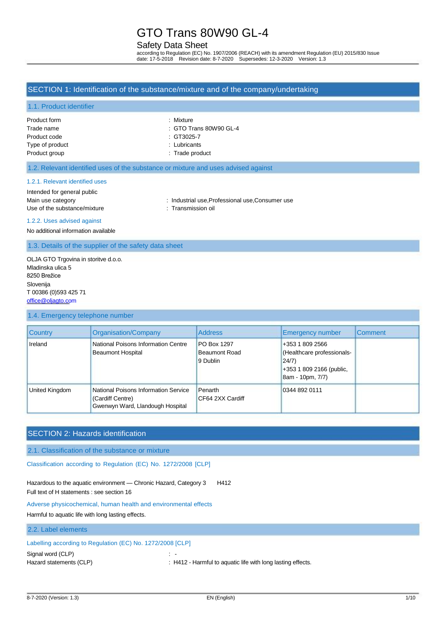# Safety Data Sheet

according to Regulation (EC) No. 1907/2006 (REACH) with its amendment Regulation (EU) 2015/830 Issue date: 17-5-2018 Revision date: 8-7-2020 Supersedes: 12-3-2020 Version: 1.3

### SECTION 1: Identification of the substance/mixture and of the company/undertaking

#### 1.1. Product identifier

| Product form    |
|-----------------|
| Trade name      |
| Product code    |
| Type of product |
| Product group   |

· Mixture

- $:$  GTO Trans 80W90 GL-4
- $\therefore$  GT3025-7
- : Lubricants
- : Trade product

#### 1.2. Relevant identified uses of the substance or mixture and uses advised against

### 1.2.1. Relevant identified uses

## Intended for general public

Main use category **industrial use, Professional use, Consumer use**  $\blacksquare$ 

#### 1.2.2. Uses advised against

No additional information available

1.3. Details of the supplier of the safety data sheet

Use of the substance/mixture : Transmission oil

OLJA GTO Trgovina in storitve d.o.o. Mladinska ulica 5 8250 Brežice Slovenija T 00386 (0)593 425 71 [office@oljagto.com](mailto:office@oljagto.com)

#### 1.4. Emergency telephone number

| <b>Country</b> | Organisation/Company                                                                         | <b>Address</b>                                         | Emergency number                                                                                       | <b>Comment</b> |
|----------------|----------------------------------------------------------------------------------------------|--------------------------------------------------------|--------------------------------------------------------------------------------------------------------|----------------|
| Ireland        | National Poisons Information Centre<br><b>Beaumont Hospital</b>                              | <b>PO Box 1297</b><br><b>Beaumont Road</b><br>9 Dublin | +353 1 809 2566<br>(Healthcare professionals-<br>24/7)<br>+353 1 809 2166 (public,<br>8am - 10pm, 7/7) |                |
| United Kingdom | National Poisons Information Service<br>(Cardiff Centre)<br>Gwenwyn Ward, Llandough Hospital | Penarth<br>CF64 2XX Cardiff                            | 0344 892 0111                                                                                          |                |

# SECTION 2: Hazards identification

2.1. Classification of the substance or mixture

Classification according to Regulation (EC) No. 1272/2008 [CLP]

Hazardous to the aquatic environment - Chronic Hazard, Category 3 H412 Full text of H statements : see section 16

#### Adverse physicochemical, human health and environmental effects

Harmful to aquatic life with long lasting effects.

# 2.2. Label elements Labelling according to Regulation (EC) No. 1272/2008 [CLP] Signal word (CLP) : -

Hazard statements (CLP) : H412 - Harmful to aquatic life with long lasting effects.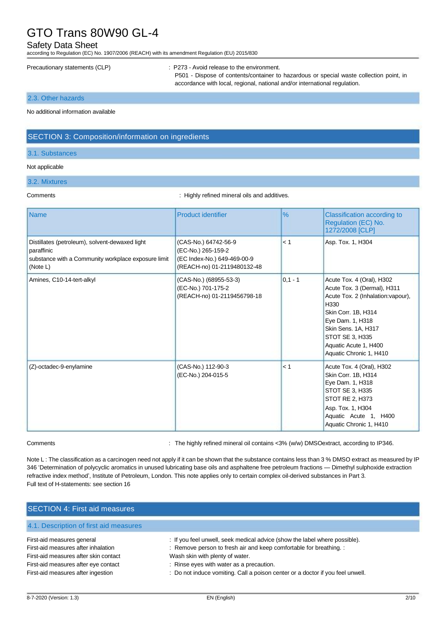### Safety Data Sheet

according to Regulation (EC) No. 1907/2006 (REACH) with its amendment Regulation (EU) 2015/830

Precautionary statements (CLP) : P273 - Avoid release to the environment.

P501 - Dispose of contents/container to hazardous or special waste collection point, in accordance with local, regional, national and/or international regulation.

2.3. Other hazards

No additional information available

# SECTION 3: Composition/information on ingredients

#### 3.1. Substances

#### Not applicable

#### 3.2. Mixtures

Comments Comments and Comments of the Comments of the Muslim of the Highly refined mineral oils and additives.

| <b>Name</b>                                                                                                                     | <b>Product identifier</b>                                                                                | $\%$      | Classification according to<br>Regulation (EC) No.<br>1272/2008 [CLP]                                                                                                                                                                           |
|---------------------------------------------------------------------------------------------------------------------------------|----------------------------------------------------------------------------------------------------------|-----------|-------------------------------------------------------------------------------------------------------------------------------------------------------------------------------------------------------------------------------------------------|
| Distillates (petroleum), solvent-dewaxed light<br>paraffinic<br>substance with a Community workplace exposure limit<br>(Note L) | (CAS-No.) 64742-56-9<br>(EC-No.) 265-159-2<br>(EC Index-No.) 649-469-00-9<br>(REACH-no) 01-2119480132-48 | < 1       | Asp. Tox. 1, H304                                                                                                                                                                                                                               |
| Amines, C10-14-tert-alkyl                                                                                                       | (CAS-No.) (68955-53-3)<br>(EC-No.) 701-175-2<br>(REACH-no) 01-2119456798-18                              | $0,1 - 1$ | Acute Tox. 4 (Oral), H302<br>Acute Tox. 3 (Dermal), H311<br>Acute Tox. 2 (Inhalation: vapour),<br>H330<br>Skin Corr. 1B, H314<br>Eye Dam. 1, H318<br>Skin Sens. 1A, H317<br>STOT SE 3, H335<br>Aquatic Acute 1, H400<br>Aquatic Chronic 1, H410 |
| (Z)-octadec-9-enylamine                                                                                                         | (CAS-No.) 112-90-3<br>(EC-No.) 204-015-5                                                                 | < 1       | Acute Tox. 4 (Oral), H302<br>Skin Corr. 1B, H314<br>Eye Dam. 1, H318<br>STOT SE 3, H335<br>STOT RE 2, H373<br>Asp. Tox. 1, H304<br>Aquatic Acute 1, H400<br>Aquatic Chronic 1, H410                                                             |

Comments : The highly refined mineral oil contains <3% (w/w) DMSOextract, according to IP346.

Note L: The classification as a carcinogen need not apply if it can be shown that the substance contains less than 3 % DMSO extract as measured by IP 346 'Determination of polycyclic aromatics in unused lubricating base oils and asphaltene free petroleum fractions — Dimethyl sulphoxide extraction refractive index method', Institute of Petroleum, London. This note applies only to certain complex oil-derived substances in Part 3. Full text of H-statements: see section 16

| <b>SECTION 4: First aid measures</b>                                                                                                                                                     |                                                                                                                                                                                                                                                                                                                   |
|------------------------------------------------------------------------------------------------------------------------------------------------------------------------------------------|-------------------------------------------------------------------------------------------------------------------------------------------------------------------------------------------------------------------------------------------------------------------------------------------------------------------|
| 4.1. Description of first aid measures                                                                                                                                                   |                                                                                                                                                                                                                                                                                                                   |
| First-aid measures general<br>First-aid measures after inhalation<br>First-aid measures after skin contact<br>First-aid measures after eye contact<br>First-aid measures after ingestion | : If you feel unwell, seek medical advice (show the label where possible).<br>: Remove person to fresh air and keep comfortable for breathing. :<br>Wash skin with plenty of water.<br>: Rinse eyes with water as a precaution.<br>: Do not induce vomiting. Call a poison center or a doctor if you feel unwell. |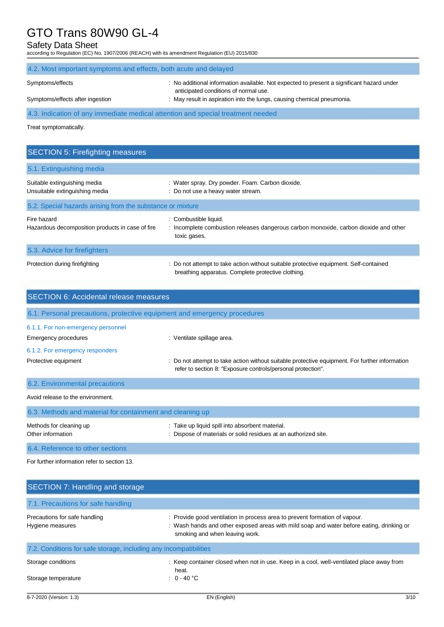### Safety Data Sheet

according to Regulation (EC) No. 1907/2006 (REACH) with its amendment Regulation (EU) 2015/830

| 4.2. Most important symptoms and effects, both acute and delayed                |                                                                                                                                                                                                              |
|---------------------------------------------------------------------------------|--------------------------------------------------------------------------------------------------------------------------------------------------------------------------------------------------------------|
| Symptoms/effects<br>Symptoms/effects after ingestion                            | : No additional information available. Not expected to present a significant hazard under<br>anticipated conditions of normal use.<br>: May result in aspiration into the lungs, causing chemical pneumonia. |
| 4.3. Indication of any immediate medical attention and special treatment needed |                                                                                                                                                                                                              |

Treat symptomatically.

# SECTION 5: Firefighting measures 5.1. Extinguishing media Suitable extinguishing media : Water spray. Dry powder. Foam. Carbon dioxide. Unsuitable extinguishing media **interpretent manufation** : Do not use a heavy water stream. 5.2. Special hazards arising from the substance or mixture Fire hazard : Combustible liquid. Hazardous decomposition products in case of fire : Incomplete combustion releases dangerous carbon monoxide, carbon dioxide and other toxic gases. 5.3. Advice for firefighters Protection during firefighting **interest and the CO** not attempt to take action without suitable protective equipment. Self-contained breathing apparatus. Complete protective clothing.

| <b>SECTION 6: Accidental release measures</b>                            |                                                                                                                                                                |  |
|--------------------------------------------------------------------------|----------------------------------------------------------------------------------------------------------------------------------------------------------------|--|
| 6.1. Personal precautions, protective equipment and emergency procedures |                                                                                                                                                                |  |
| 6.1.1. For non-emergency personnel<br>Emergency procedures               | : Ventilate spillage area.                                                                                                                                     |  |
| 6.1.2. For emergency responders                                          |                                                                                                                                                                |  |
| Protective equipment                                                     | : Do not attempt to take action without suitable protective equipment. For further information<br>refer to section 8: "Exposure controls/personal protection". |  |
| 6.2. Environmental precautions                                           |                                                                                                                                                                |  |
| Avoid release to the environment.                                        |                                                                                                                                                                |  |
| 6.3. Methods and material for containment and cleaning up                |                                                                                                                                                                |  |
| Methods for cleaning up<br>Other information                             | : Take up liquid spill into absorbent material.<br>: Dispose of materials or solid residues at an authorized site.                                             |  |

6.4. Reference to other sections

For further information refer to section 13.

| SECTION 7: Handling and storage                                   |                                                                                                                                                                                                          |
|-------------------------------------------------------------------|----------------------------------------------------------------------------------------------------------------------------------------------------------------------------------------------------------|
| 7.1. Precautions for safe handling                                |                                                                                                                                                                                                          |
| Precautions for safe handling<br>Hygiene measures                 | : Provide good ventilation in process area to prevent formation of vapour.<br>: Wash hands and other exposed areas with mild soap and water before eating, drinking or<br>smoking and when leaving work. |
| 7.2. Conditions for safe storage, including any incompatibilities |                                                                                                                                                                                                          |
| Storage conditions<br>Storage temperature                         | : Keep container closed when not in use. Keep in a cool, well-ventilated place away from<br>heat.<br>$: 0 - 40 °C$                                                                                       |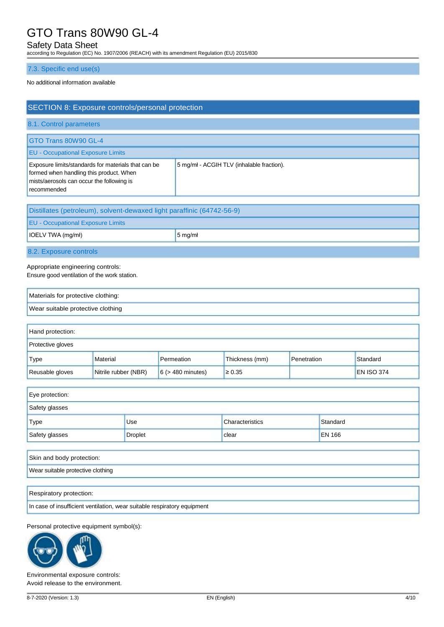## Safety Data Sheet

according to Regulation (EC) No. 1907/2006 (REACH) with its amendment Regulation (EU) 2015/830

### 7.3. Specific end use(s)

#### No additional information available

| SECTION 8: Exposure controls/personal protection                                                                                                           |                                           |
|------------------------------------------------------------------------------------------------------------------------------------------------------------|-------------------------------------------|
| 8.1. Control parameters                                                                                                                                    |                                           |
| GTO Trans 80W90 GL-4                                                                                                                                       |                                           |
| <b>EU - Occupational Exposure Limits</b>                                                                                                                   |                                           |
| Exposure limits/standards for materials that can be<br>formed when handling this product. When<br>mists/aerosols can occur the following is<br>recommended | 5 mg/mł - ACGIH TLV (inhalable fraction). |

| Distillates (petroleum), solvent-dewaxed light paraffinic (64742-56-9) |                      |  |  |
|------------------------------------------------------------------------|----------------------|--|--|
| <b>EU - Occupational Exposure Limits</b>                               |                      |  |  |
| $\vert$ IOELV TWA (mg/mł)                                              | $5 \,\mathrm{mg/mL}$ |  |  |
| 8.2. Exposure controls                                                 |                      |  |  |

Appropriate engineering controls:

Ensure good ventilation of the work station.

| Materials for protective clothing: |  |
|------------------------------------|--|
| Wear suitable protective clothing  |  |

| Hand protection:         |                      |                        |                |             |                   |
|--------------------------|----------------------|------------------------|----------------|-------------|-------------------|
| <b>Protective gloves</b> |                      |                        |                |             |                   |
| Type                     | Material             | Permeation             | Thickness (mm) | Penetration | Standard          |
| Reusable gloves          | Nitrile rubber (NBR) | $6$ ( $>$ 480 minutes) | $\geq 0.35$    |             | <b>EN ISO 374</b> |

| Eye protection: |                |                        |               |  |
|-----------------|----------------|------------------------|---------------|--|
| Safety glasses  |                |                        |               |  |
| <b>Type</b>     | <b>Use</b>     | <b>Characteristics</b> | Standard      |  |
| Safety glasses  | <b>Droplet</b> | clear                  | <b>EN 166</b> |  |

| Skin and body protection:         |  |
|-----------------------------------|--|
| Wear suitable protective clothing |  |
|                                   |  |

Respiratory protection:

In case of insufficient ventilation, wear suitable respiratory equipment

Personal protective equipment symbol(s):



Environmental exposure controls: Avoid release to the environment.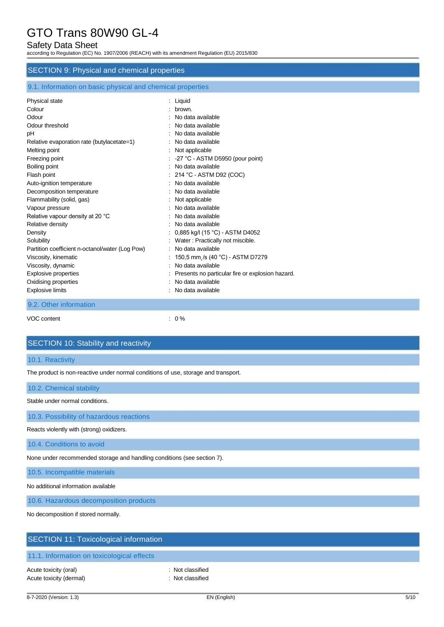## Safety Data Sheet

according to Regulation (EC) No. 1907/2006 (REACH) with its amendment Regulation (EU) 2015/830

### SECTION 9: Physical and chemical properties

### 9.1. Information on basic physical and chemical properties

| Physical state                                  | : Liquid                                         |
|-------------------------------------------------|--------------------------------------------------|
| Colour                                          | brown.                                           |
| Odour                                           | No data available                                |
| Odour threshold                                 | No data available                                |
| рH                                              | : No data available                              |
| Relative evaporation rate (butylacetate=1)      | : No data available                              |
| Melting point                                   | Not applicable                                   |
| Freezing point                                  | -27 °C - ASTM D5950 (pour point)                 |
| Boiling point                                   | : No data available                              |
| Flash point                                     | $: 214 °C - ASTM D92 (COC)$                      |
| Auto-ignition temperature                       | No data available                                |
| Decomposition temperature                       | : No data available                              |
| Flammability (solid, gas)                       | Not applicable                                   |
| Vapour pressure                                 | : No data available                              |
| Relative vapour density at 20 °C                | No data available                                |
| Relative density                                | : No data available                              |
| Density                                         | 0,885 kg/l (15 °C) - ASTM D4052                  |
| Solubility                                      | : Water: Practically not miscible.               |
| Partition coefficient n-octanol/water (Log Pow) | No data available                                |
| Viscosity, kinematic                            | 150,5 mm /s (40 °C) - ASTM D7279                 |
| Viscosity, dynamic                              | No data available                                |
| <b>Explosive properties</b>                     | Presents no particular fire or explosion hazard. |
| Oxidising properties                            | No data available                                |
| <b>Explosive limits</b>                         | No data available                                |
| 9.2. Other information                          |                                                  |
|                                                 |                                                  |

VOC content : 0 %

## SECTION 10: Stability and reactivity

#### 10.1. Reactivity

The product is non-reactive under normal conditions of use, storage and transport.

10.2. Chemical stability

Stable under normal conditions.

10.3. Possibility of hazardous reactions

Reacts violently with (strong) oxidizers.

10.4. Conditions to avoid

None under recommended storage and handling conditions (see section 7).

10.5. Incompatible materials

No additional information available

10.6. Hazardous decomposition products

No decomposition if stored normally.

## SECTION 11: Toxicological information

# 11.1. Information on toxicological effects

Acute toxicity (oral) **Example 2** CHC 2014 1 CHC 2015 1 Not classified Acute toxicity (dermal) **Example 2** Contract 2 Contract 2 Contract 2 Contract 2 Contract 2 Contract 2 Contract 2 Contract 2 Contract 2 Contract 2 Contract 2 Contract 2 Contract 2 Contract 2 Contract 2 Contract 2 Contract 2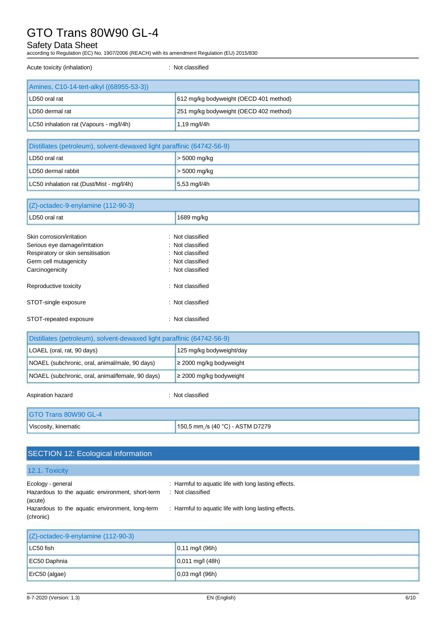# Safety Data Sheet

according to Regulation (EC) No. 1907/2006 (REACH) with its amendment Regulation (EU) 2015/830

Acute toxicity (inhalation) **in the case of the contract of the contract of the contract of the contract of the contract of the contract of the contract of the contract of the contract of the contract of the contract of th** 

| Amines, C10-14-tert-alkyl ((68955-53-3)) |                                        |
|------------------------------------------|----------------------------------------|
| LD50 oral rat                            | 612 mg/kg bodyweight (OECD 401 method) |
| LD50 dermal rat                          | 251 mg/kg bodyweight (OECD 402 method) |
| LC50 inhalation rat (Vapours - mg/l/4h)  | $1,19 \,\mathrm{mq}/l/4h$              |

| Distillates (petroleum), solvent-dewaxed light paraffinic (64742-56-9) |                        |
|------------------------------------------------------------------------|------------------------|
| LD50 oral rat                                                          | $>$ 5000 mg/kg         |
| LD50 dermal rabbit                                                     | $>$ 5000 mg/kg         |
| LC50 inhalation rat (Dust/Mist - mg/l/4h)                              | $5,53 \text{ mg/l/4h}$ |

| (Z)-octadec-9-enylamine (112-90-3) |                  |  |
|------------------------------------|------------------|--|
| LD50 oral rat                      | 1689 mg/kg       |  |
| Skin corrosion/irritation          | : Not classified |  |
| Serious eye damage/irritation      | : Not classified |  |
| Respiratory or skin sensitisation  | : Not classified |  |
| Germ cell mutagenicity             | : Not classified |  |
| Carcinogenicity                    | : Not classified |  |
| Reproductive toxicity              | : Not classified |  |
| STOT-single exposure               | : Not classified |  |
| STOT-repeated exposure             | : Not classified |  |

| Distillates (petroleum), solvent-dewaxed light paraffinic (64742-56-9) |                              |
|------------------------------------------------------------------------|------------------------------|
| LOAEL (oral, rat, 90 days)<br>125 mg/kg bodyweight/day                 |                              |
| NOAEL (subchronic, oral, animal/male, 90 days)                         | $\geq$ 2000 mg/kg bodyweight |
| NOAEL (subchronic, oral, animal/female, 90 days)                       | $\geq$ 2000 mg/kg bodyweight |

Aspiration hazard is a set of the set of the set of the set of the set of the set of the set of the set of the set of the set of the set of the set of the set of the set of the set of the set of the set of the set of the s

| GTO Trans 80W90 GL-4 |                                  |
|----------------------|----------------------------------|
| Viscosity, kinematic | 150,5 mm /s (40 °C) - ASTM D7279 |

# SECTION 12: Ecological information

| 12.1. Toxicity                                                                   |                                                                          |
|----------------------------------------------------------------------------------|--------------------------------------------------------------------------|
| Ecology - general<br>Hazardous to the aquatic environment, short-term<br>(acute) | : Harmful to aquatic life with long lasting effects.<br>: Not classified |
| Hazardous to the aquatic environment, long-term<br>(chronic)                     | : Harmful to aquatic life with long lasting effects.                     |

| (Z)-octadec-9-enylamine (112-90-3) |                             |
|------------------------------------|-----------------------------|
| LC50 fish                          | $ 0,11 \text{ mg}/1 (96h) $ |
| EC50 Daphnia                       | $ 0,011 \text{ mg}/(48h) $  |
| ErC50 (algae)                      | $ 0,03 \text{ mg}/1 (96h) $ |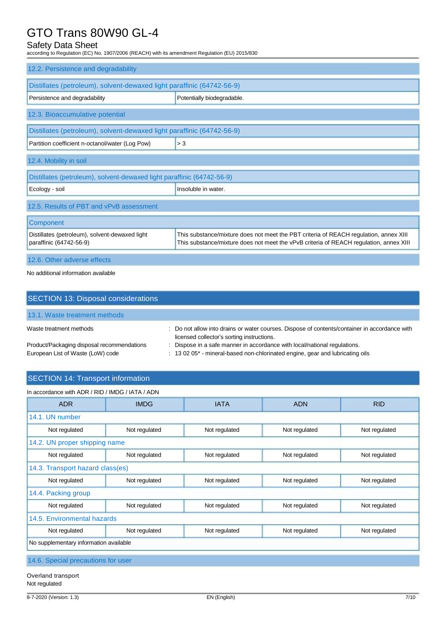# Safety Data Sheet

according to Regulation (EC) No. 1907/2006 (REACH) with its amendment Regulation (EU) 2015/830

| 12.2. Persistence and degradability                                       |                                                                                                                                                                                 |
|---------------------------------------------------------------------------|---------------------------------------------------------------------------------------------------------------------------------------------------------------------------------|
| Distillates (petroleum), solvent-dewaxed light paraffinic (64742-56-9)    |                                                                                                                                                                                 |
| Persistence and degradability                                             | Potentially biodegradable.                                                                                                                                                      |
| 12.3. Bioaccumulative potential                                           |                                                                                                                                                                                 |
| Distillates (petroleum), solvent-dewaxed light paraffinic (64742-56-9)    |                                                                                                                                                                                 |
| Partition coefficient n-octanol/water (Log Pow)                           | > 3                                                                                                                                                                             |
| 12.4. Mobility in soil                                                    |                                                                                                                                                                                 |
| Distillates (petroleum), solvent-dewaxed light paraffinic (64742-56-9)    |                                                                                                                                                                                 |
| Ecology - soil                                                            | Insoluble in water.                                                                                                                                                             |
| 12.5. Results of PBT and vPvB assessment                                  |                                                                                                                                                                                 |
| Component                                                                 |                                                                                                                                                                                 |
| Distillates (petroleum), solvent-dewaxed light<br>paraffinic (64742-56-9) | This substance/mixture does not meet the PBT criteria of REACH regulation, annex XIII<br>This substance/mixture does not meet the vPvB criteria of REACH regulation, annex XIII |
| 12.6. Other adverse effects                                               |                                                                                                                                                                                 |

No additional information available

| SECTION 13: Disposal considerations                                             |                                                                                                                                                            |
|---------------------------------------------------------------------------------|------------------------------------------------------------------------------------------------------------------------------------------------------------|
| 13.1. Waste treatment methods                                                   |                                                                                                                                                            |
| Waste treatment methods                                                         | : Do not allow into drains or water courses. Dispose of contents/container in accordance with<br>licensed collector's sorting instructions.                |
| Product/Packaging disposal recommendations<br>European List of Waste (LoW) code | : Dispose in a safe manner in accordance with local/national regulations.<br>: 13 02 05* - mineral-based non-chlorinated engine, gear and lubricating oils |

# SECTION 14: Transport information

| In accordance with ADR / RID / IMDG / IATA / ADN |                                        |               |               |               |
|--------------------------------------------------|----------------------------------------|---------------|---------------|---------------|
| <b>ADR</b>                                       | <b>IMDG</b>                            | <b>IATA</b>   | <b>ADN</b>    | <b>RID</b>    |
| 14.1. UN number                                  |                                        |               |               |               |
| Not regulated                                    | Not regulated                          | Not regulated | Not regulated | Not regulated |
| 14.2. UN proper shipping name                    |                                        |               |               |               |
| Not regulated                                    | Not regulated                          | Not regulated | Not regulated | Not regulated |
| 14.3. Transport hazard class(es)                 |                                        |               |               |               |
| Not regulated                                    | Not regulated                          | Not regulated | Not regulated | Not regulated |
| 14.4. Packing group                              |                                        |               |               |               |
| Not regulated                                    | Not regulated                          | Not regulated | Not regulated | Not regulated |
| 14.5. Environmental hazards                      |                                        |               |               |               |
| Not regulated                                    | Not regulated                          | Not regulated | Not regulated | Not regulated |
|                                                  | No supplementary information available |               |               |               |

Overland transport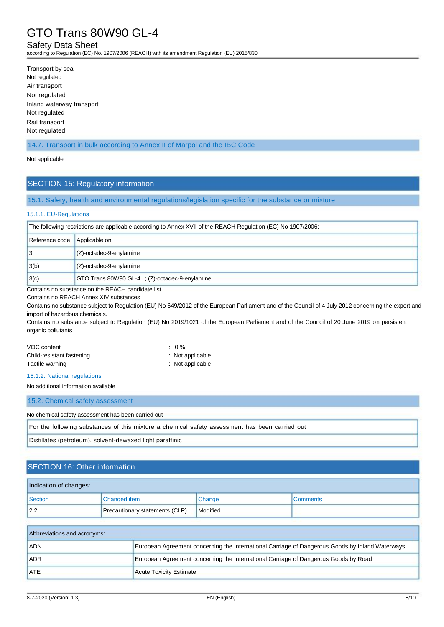### Safety Data Sheet

according to Regulation (EC) No. 1907/2006 (REACH) with its amendment Regulation (EU) 2015/830

Transport by sea Not regulated Air transport Not regulated Inland waterway transport Not regulated Rail transport Not regulated

14.7. Transport in bulk according to Annex II of Marpol and the IBC Code

#### Not applicable

#### SECTION 15: Regulatory information

15.1. Safety, health and environmental regulations/legislation specific for the substance or mixture

#### 15.1.1. EU-Regulations

| The following restrictions are applicable according to Annex XVII of the REACH Regulation (EC) No 1907/2006: |                                               |
|--------------------------------------------------------------------------------------------------------------|-----------------------------------------------|
| Reference code Applicable on                                                                                 |                                               |
| $\mathsf{I}3$                                                                                                | (Z)-octadec-9-enylamine                       |
| 3(b)                                                                                                         | $(Z)$ -octadec-9-enylamine                    |
| 3(c)                                                                                                         | GTO Trans 80W90 GL-4; (Z)-octadec-9-enylamine |

Contains no substance on the REACH candidate list

Contains no REACH Annex XIV substances

Contains no substance subject to Regulation (EU) No 649/2012 of the European Parliament and of the Council of 4 July 2012 concerning the export and import of hazardous chemicals.

Contains no substance subject to Regulation (EU) No 2019/1021 of the European Parliament and of the Council of 20 June 2019 on persistent organic pollutants

| VOC content               | $\therefore$ 0 % |
|---------------------------|------------------|
| Child-resistant fastening | : Not applicable |
| Tactile warning           | : Not applicable |

#### 15.1.2. National regulations

No additional information available

15.2. Chemical safety assessment

No chemical safety assessment has been carried out

For the following substances of this mixture a chemical safety assessment has been carried out

Distillates (petroleum), solvent-dewaxed light paraffinic

## SECTION 16: Other information

| Indication of changes: |                                |          |                 |  |
|------------------------|--------------------------------|----------|-----------------|--|
| Section                | <b>Changed item</b>            | Change   | <b>Comments</b> |  |
| 2.2                    | Precautionary statements (CLP) | Modified |                 |  |

| Abbreviations and acronyms: |                                                                                                 |
|-----------------------------|-------------------------------------------------------------------------------------------------|
| <b>ADN</b>                  | European Agreement concerning the International Carriage of Dangerous Goods by Inland Waterways |
| <b>ADR</b>                  | European Agreement concerning the International Carriage of Dangerous Goods by Road             |
| <b>ATE</b>                  | <b>Acute Toxicity Estimate</b>                                                                  |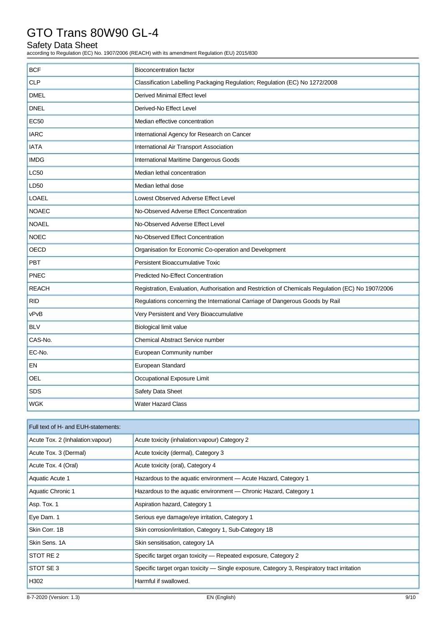# Safety Data Sheet

according to Regulation (EC) No. 1907/2006 (REACH) with its amendment Regulation (EU) 2015/830

| <b>BCF</b>   | Bioconcentration factor                                                                           |
|--------------|---------------------------------------------------------------------------------------------------|
| <b>CLP</b>   | Classification Labelling Packaging Regulation; Regulation (EC) No 1272/2008                       |
| <b>DMEL</b>  | Derived Minimal Effect level                                                                      |
| <b>DNEL</b>  | Derived-No Effect Level                                                                           |
| <b>EC50</b>  | Median effective concentration                                                                    |
| <b>IARC</b>  | International Agency for Research on Cancer                                                       |
| <b>IATA</b>  | International Air Transport Association                                                           |
| <b>IMDG</b>  | International Maritime Dangerous Goods                                                            |
| <b>LC50</b>  | Median lethal concentration                                                                       |
| LD50         | Median lethal dose                                                                                |
| <b>LOAEL</b> | Lowest Observed Adverse Effect Level                                                              |
| <b>NOAEC</b> | No-Observed Adverse Effect Concentration                                                          |
| <b>NOAEL</b> | No-Observed Adverse Effect Level                                                                  |
| <b>NOEC</b>  | No-Observed Effect Concentration                                                                  |
| <b>OECD</b>  | Organisation for Economic Co-operation and Development                                            |
| <b>PBT</b>   | Persistent Bioaccumulative Toxic                                                                  |
| <b>PNEC</b>  | <b>Predicted No-Effect Concentration</b>                                                          |
| <b>REACH</b> | Registration, Evaluation, Authorisation and Restriction of Chemicals Regulation (EC) No 1907/2006 |
| <b>RID</b>   | Regulations concerning the International Carriage of Dangerous Goods by Rail                      |
| vPvB         | Very Persistent and Very Bioaccumulative                                                          |
| <b>BLV</b>   | <b>Biological limit value</b>                                                                     |
| CAS-No.      | <b>Chemical Abstract Service number</b>                                                           |
| EC-No.       | European Community number                                                                         |
| EN           | European Standard                                                                                 |
| OEL          | Occupational Exposure Limit                                                                       |
| <b>SDS</b>   | Safety Data Sheet                                                                                 |
| <b>WGK</b>   | <b>Water Hazard Class</b>                                                                         |

| Full text of H- and EUH-statements: |                                                                                            |  |
|-------------------------------------|--------------------------------------------------------------------------------------------|--|
| Acute Tox. 2 (Inhalation: vapour)   | Acute toxicity (inhalation: vapour) Category 2                                             |  |
| Acute Tox. 3 (Dermal)               | Acute toxicity (dermal), Category 3                                                        |  |
| Acute Tox. 4 (Oral)                 | Acute toxicity (oral), Category 4                                                          |  |
| Aquatic Acute 1                     | Hazardous to the aquatic environment - Acute Hazard, Category 1                            |  |
| Aquatic Chronic 1                   | Hazardous to the aquatic environment — Chronic Hazard, Category 1                          |  |
| Asp. Tox. 1                         | Aspiration hazard, Category 1                                                              |  |
| Eye Dam. 1                          | Serious eye damage/eye irritation, Category 1                                              |  |
| Skin Corr, 1B                       | Skin corrosion/irritation, Category 1, Sub-Category 1B                                     |  |
| Skin Sens, 1A                       | Skin sensitisation, category 1A                                                            |  |
| STOT RE 2                           | Specific target organ toxicity - Repeated exposure, Category 2                             |  |
| <b>STOT SE 3</b>                    | Specific target organ toxicity — Single exposure, Category 3, Respiratory tract irritation |  |
| H <sub>302</sub>                    | Harmful if swallowed.                                                                      |  |